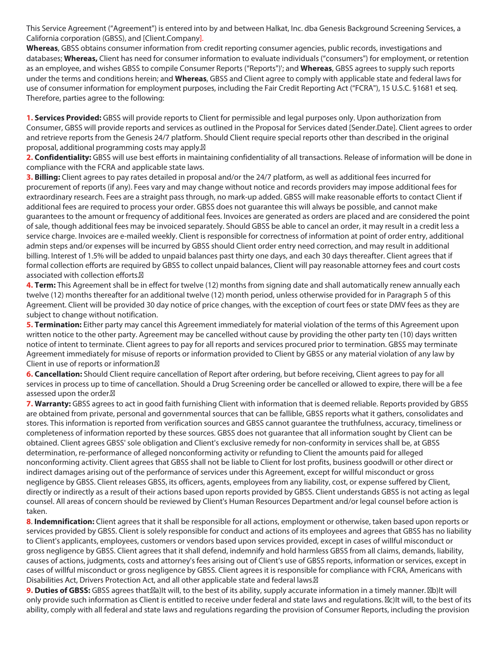This Service Agreement ("Agreement") is entered into by and between Halkat, Inc. dba Genesis Background Screening Services, a California corporation (GBSS), and [Client.Company].

**Whereas**, GBSS obtains consumer information from credit reporting consumer agencies, public records, investigations and databases; **Whereas,** Client has need for consumer information to evaluate individuals ("consumers") for employment, or retention as an employee, and wishes GBSS to compile Consumer Reports ("Reports")'; and **Whereas**, GBSS agrees to supply such reports under the terms and conditions herein; and **Whereas**, GBSS and Client agree to comply with applicable state and federal laws for use of consumer information for employment purposes, including the Fair Credit Reporting Act ("FCRA"), 15 U.S.C. §1681 et seq. Therefore, parties agree to the following:

**1. Services Provided:** GBSS will provide reports to Client for permissible and legal purposes only. Upon authorization from Consumer, GBSS will provide reports and services as outlined in the Proposal for Services dated [Sender.Date]. Client agrees to order and retrieve reports from the Genesis 24/7 platform. Should Client require special reports other than described in the original proposal, additional programming costs may apply.

**2. Confidentiality:** GBSS will use best efforts in maintaining confidentiality of all transactions. Release of information will be done in compliance with the FCRA and applicable state laws.

**3. Billing:** Client agrees to pay rates detailed in proposal and/or the 24/7 platform, as well as additional fees incurred for procurement of reports (if any). Fees vary and may change without notice and records providers may impose additional fees for extraordinary research. Fees are a straight pass through, no mark-up added. GBSS will make reasonable efforts to contact Client if additional fees are required to process your order. GBSS does not guarantee this will always be possible, and cannot make guarantees to the amount or frequency of additional fees. Invoices are generated as orders are placed and are considered the point of sale, though additional fees may be invoiced separately. Should GBSS be able to cancel an order, it may result in a credit less a service charge. Invoices are e-mailed weekly. Client is responsible for correctness of information at point of order entry, additional admin steps and/or expenses will be incurred by GBSS should Client order entry need correction, and may result in additional billing. Interest of 1.5% will be added to unpaid balances past thirty one days, and each 30 days thereafter. Client agrees that if formal collection efforts are required by GBSS to collect unpaid balances, Client will pay reasonable attorney fees and court costs associated with collection efforts.

**4. Term:** This Agreement shall be in effect for twelve (12) months from signing date and shall automatically renew annually each twelve (12) months thereafter for an additional twelve (12) month period, unless otherwise provided for in Paragraph 5 of this Agreement. Client will be provided 30 day notice of price changes, with the exception of court fees or state DMV fees as they are subject to change without notification.

**5. Termination:** Either party may cancel this Agreement immediately for material violation of the terms of this Agreement upon written notice to the other party. Agreement may be cancelled without cause by providing the other party ten (10) days written notice of intent to terminate. Client agrees to pay for all reports and services procured prior to termination. GBSS may terminate Agreement immediately for misuse of reports or information provided to Client by GBSS or any material violation of any law by Client in use of reports or information.

**6. Cancellation:** Should Client require cancellation of Report after ordering, but before receiving, Client agrees to pay for all services in process up to time of cancellation. Should a Drug Screening order be cancelled or allowed to expire, there will be a fee assessed upon the order.<sup>8</sup>

**7. Warranty:** GBSS agrees to act in good faith furnishing Client with information that is deemed reliable. Reports provided by GBSS are obtained from private, personal and governmental sources that can be fallible, GBSS reports what it gathers, consolidates and stores. This information is reported from verification sources and GBSS cannot guarantee the truthfulness, accuracy, timeliness or completeness of information reported by these sources. GBSS does not guarantee that all information sought by Client can be obtained. Client agrees GBSS' sole obligation and Client's exclusive remedy for non-conformity in services shall be, at GBSS determination, re-performance of alleged nonconforming activity or refunding to Client the amounts paid for alleged nonconforming activity. Client agrees that GBSS shall not be liable to Client for lost profits, business goodwill or other direct or indirect damages arising out of the performance of services under this Agreement, except for willful misconduct or gross negligence by GBSS. Client releases GBSS, its officers, agents, employees from any liability, cost, or expense suffered by Client, directly or indirectly as a result of their actions based upon reports provided by GBSS. Client understands GBSS is not acting as legal counsel. All areas of concern should be reviewed by Client's Human Resources Department and/or legal counsel before action is taken.

**8**. **Indemnification:** Client agrees that it shall be responsible for all actions, employment or otherwise, taken based upon reports or services provided by GBSS. Client is solely responsible for conduct and actions of its employees and agrees that GBSS has no liability to Client's applicants, employees, customers or vendors based upon services provided, except in cases of willful misconduct or gross negligence by GBSS. Client agrees that it shall defend, indemnify and hold harmless GBSS from all claims, demands, liability, causes of actions, judgments, costs and attorney's fees arising out of Client's use of GBSS reports, information or services, except in cases of willful misconduct or gross negligence by GBSS. Client agrees it is responsible for compliance with FCRA, Americans with Disabilities Act, Drivers Protection Act, and all other applicable state and federal laws.<sup>[2]</sup>

**9. Duties of GBSS:** GBSS agrees that: [2] bit will, to the best of its ability, supply accurate information in a timely manner. [2] b) It will only provide such information as Client is entitled to receive under federal and state laws and regulations.  $\mathbb{Z}_C$ It will, to the best of its ability, comply with all federal and state laws and regulations regarding the provision of Consumer Reports, including the provision